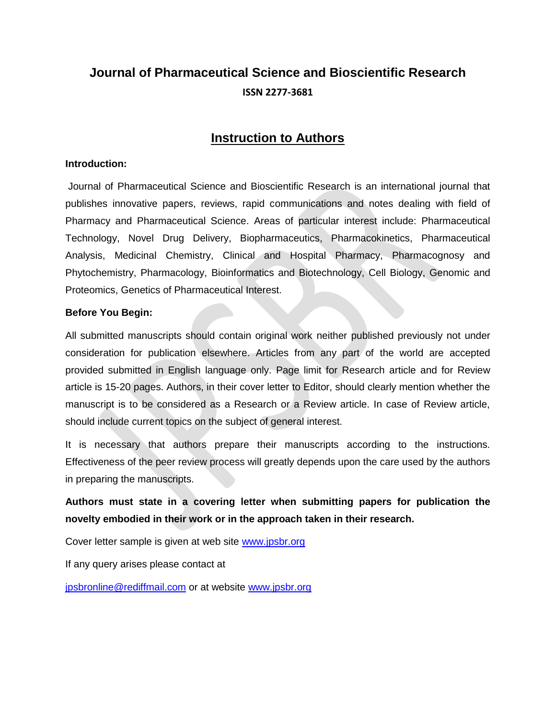# **Journal of Pharmaceutical Science and Bioscientific Research ISSN 2277-3681**

# **Instruction to Authors**

# **Introduction:**

Journal of Pharmaceutical Science and Bioscientific Research is an international journal that publishes innovative papers, reviews, rapid communications and notes dealing with field of Pharmacy and Pharmaceutical Science. Areas of particular interest include: Pharmaceutical Technology, Novel Drug Delivery, Biopharmaceutics, Pharmacokinetics, Pharmaceutical Analysis, Medicinal Chemistry, Clinical and Hospital Pharmacy, Pharmacognosy and Phytochemistry, Pharmacology, Bioinformatics and Biotechnology, Cell Biology, Genomic and Proteomics, Genetics of Pharmaceutical Interest.

# **Before You Begin:**

All submitted manuscripts should contain original work neither published previously not under consideration for publication elsewhere. Articles from any part of the world are accepted provided submitted in English language only. Page limit for Research article and for Review article is 15-20 pages. Authors, in their cover letter to Editor, should clearly mention whether the manuscript is to be considered as a Research or a Review article. In case of Review article, should include current topics on the subject of general interest.

It is necessary that authors prepare their manuscripts according to the instructions. Effectiveness of the peer review process will greatly depends upon the care used by the authors in preparing the manuscripts.

**Authors must state in a covering letter when submitting papers for publication the novelty embodied in their work or in the approach taken in their research.** 

Cover letter sample is given at web site [www.jpsbr.org](http://www.jpsbr.org/)

If any query arises please contact at

[jpsbronline@rediffmail.com](mailto:jpsbronline@rediffmail.com) or at website [www.jpsbr.org](http://www.jpsbr.org/)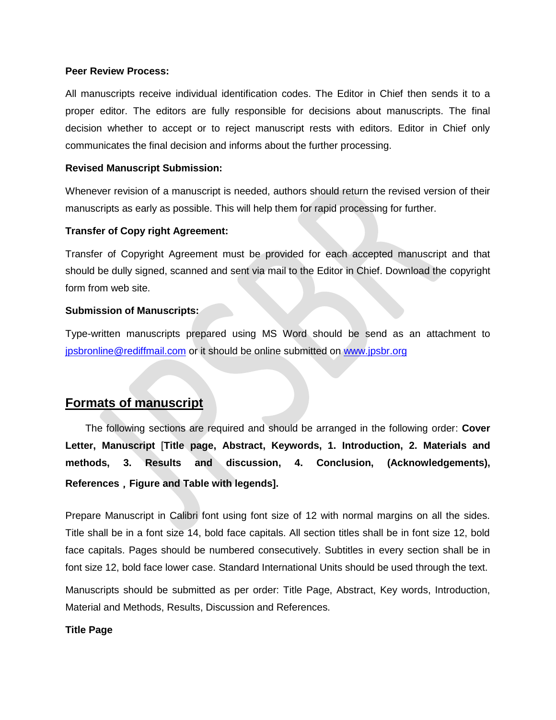#### **Peer Review Process:**

All manuscripts receive individual identification codes. The Editor in Chief then sends it to a proper editor. The editors are fully responsible for decisions about manuscripts. The final decision whether to accept or to reject manuscript rests with editors. Editor in Chief only communicates the final decision and informs about the further processing.

#### **Revised Manuscript Submission:**

Whenever revision of a manuscript is needed, authors should return the revised version of their manuscripts as early as possible. This will help them for rapid processing for further.

#### **Transfer of Copy right Agreement:**

Transfer of Copyright Agreement must be provided for each accepted manuscript and that should be dully signed, scanned and sent via mail to the Editor in Chief. Download the copyright form from web site.

#### **Submission of Manuscripts:**

Type-written manuscripts prepared using MS Word should be send as an attachment to [jpsbronline@rediffmail.com](mailto:jpsbronline@rediffmail.com) or it should be online submitted on [www.jpsbr.org](http://www.jpsbr.org/)

# **Formats of manuscript**

The following sections are required and should be arranged in the following order: **Cover Letter, Manuscript** [**Title page, Abstract, Keywords, 1. Introduction, 2. Materials and methods, 3. Results and discussion, 4. Conclusion, (Acknowledgements), References**,**Figure and Table with legends].**

Prepare Manuscript in Calibri font using font size of 12 with normal margins on all the sides. Title shall be in a font size 14, bold face capitals. All section titles shall be in font size 12, bold face capitals. Pages should be numbered consecutively. Subtitles in every section shall be in font size 12, bold face lower case. Standard International Units should be used through the text.

Manuscripts should be submitted as per order: Title Page, Abstract, Key words, Introduction, Material and Methods, Results, Discussion and References.

#### **Title Page**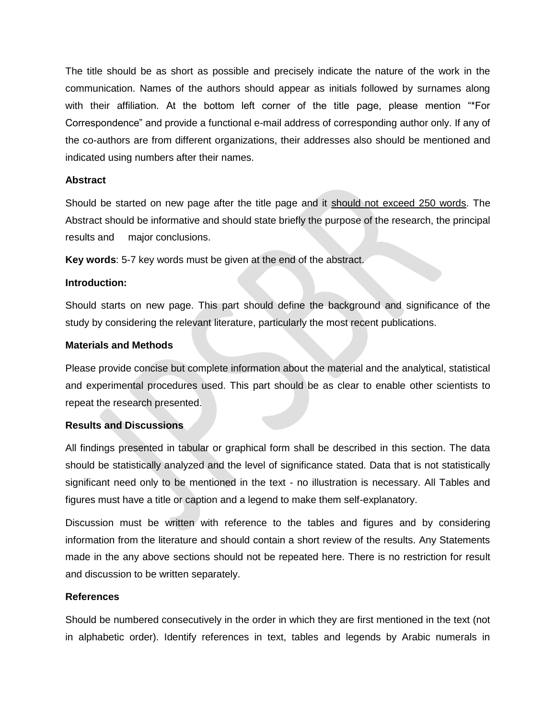The title should be as short as possible and precisely indicate the nature of the work in the communication. Names of the authors should appear as initials followed by surnames along with their affiliation. At the bottom left corner of the title page, please mention "\*For Correspondence" and provide a functional e-mail address of corresponding author only. If any of the co-authors are from different organizations, their addresses also should be mentioned and indicated using numbers after their names.

#### **Abstract**

Should be started on new page after the title page and it should not exceed 250 words. The Abstract should be informative and should state briefly the purpose of the research, the principal results and major conclusions.

**Key words**: 5-7 key words must be given at the end of the abstract.

# **Introduction:**

Should starts on new page. This part should define the background and significance of the study by considering the relevant literature, particularly the most recent publications.

#### **Materials and Methods**

Please provide concise but complete information about the material and the analytical, statistical and experimental procedures used. This part should be as clear to enable other scientists to repeat the research presented.

# **Results and Discussions**

All findings presented in tabular or graphical form shall be described in this section. The data should be statistically analyzed and the level of significance stated. Data that is not statistically significant need only to be mentioned in the text - no illustration is necessary. All Tables and figures must have a title or caption and a legend to make them self-explanatory.

Discussion must be written with reference to the tables and figures and by considering information from the literature and should contain a short review of the results. Any Statements made in the any above sections should not be repeated here. There is no restriction for result and discussion to be written separately.

#### **References**

Should be numbered consecutively in the order in which they are first mentioned in the text (not in alphabetic order). Identify references in text, tables and legends by Arabic numerals in